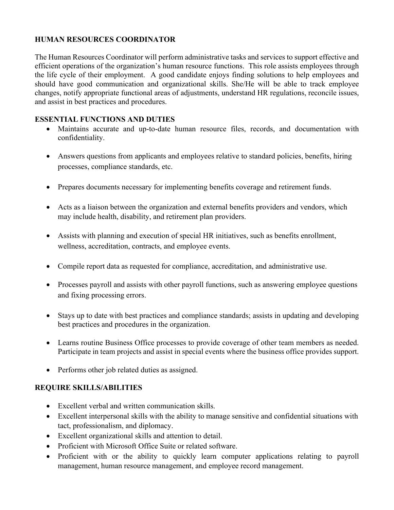## **HUMAN RESOURCES COORDINATOR**

The Human Resources Coordinator will perform administrative tasks and services to support effective and efficient operations of the organization's human resource functions. This role assists employees through the life cycle of their employment. A good candidate enjoys finding solutions to help employees and should have good communication and organizational skills. She/He will be able to track employee changes, notify appropriate functional areas of adjustments, understand HR regulations, reconcile issues, and assist in best practices and procedures.

## **ESSENTIAL FUNCTIONS AND DUTIES**

- Maintains accurate and up-to-date human resource files, records, and documentation with confidentiality.
- Answers questions from applicants and employees relative to standard policies, benefits, hiring processes, compliance standards, etc.
- Prepares documents necessary for implementing benefits coverage and retirement funds.
- Acts as a liaison between the organization and external benefits providers and vendors, which may include health, disability, and retirement plan providers.
- Assists with planning and execution of special HR initiatives, such as benefits enrollment, wellness, accreditation, contracts, and employee events.
- Compile report data as requested for compliance, accreditation, and administrative use.
- Processes payroll and assists with other payroll functions, such as answering employee questions and fixing processing errors.
- Stays up to date with best practices and compliance standards; assists in updating and developing best practices and procedures in the organization.
- Learns routine Business Office processes to provide coverage of other team members as needed. Participate in team projects and assist in special events where the business office provides support.
- Performs other job related duties as assigned.

# **REQUIRE SKILLS/ABILITIES**

- Excellent verbal and written communication skills.
- Excellent interpersonal skills with the ability to manage sensitive and confidential situations with tact, professionalism, and diplomacy.
- Excellent organizational skills and attention to detail.
- Proficient with Microsoft Office Suite or related software.
- Proficient with or the ability to quickly learn computer applications relating to payroll management, human resource management, and employee record management.